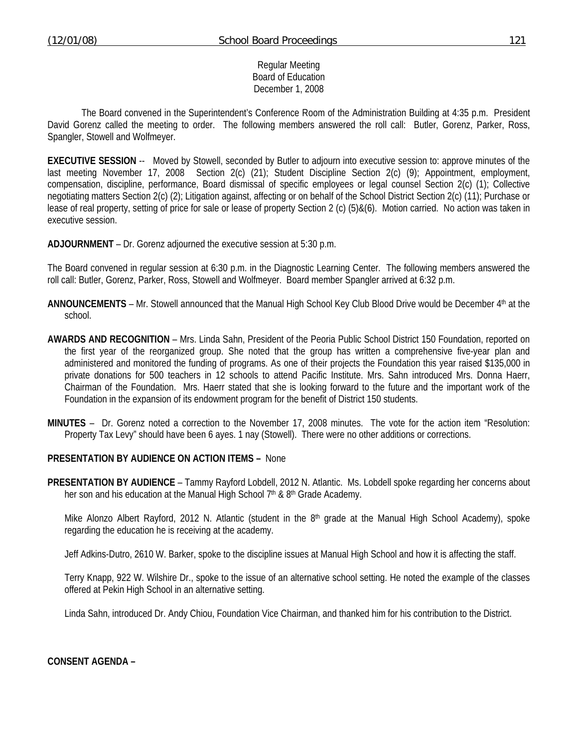### Regular Meeting Board of Education December 1, 2008

 The Board convened in the Superintendent's Conference Room of the Administration Building at 4:35 p.m. President David Gorenz called the meeting to order. The following members answered the roll call: Butler, Gorenz, Parker, Ross, Spangler, Stowell and Wolfmeyer.

**EXECUTIVE SESSION** -- Moved by Stowell, seconded by Butler to adjourn into executive session to: approve minutes of the last meeting November 17, 2008 Section 2(c) (21); Student Discipline Section 2(c) (9); Appointment, employment, compensation, discipline, performance, Board dismissal of specific employees or legal counsel Section 2(c) (1); Collective negotiating matters Section 2(c) (2); Litigation against, affecting or on behalf of the School District Section 2(c) (11); Purchase or lease of real property, setting of price for sale or lease of property Section 2 (c) (5)&(6). Motion carried. No action was taken in executive session.

**ADJOURNMENT** – Dr. Gorenz adjourned the executive session at 5:30 p.m.

The Board convened in regular session at 6:30 p.m. in the Diagnostic Learning Center. The following members answered the roll call: Butler, Gorenz, Parker, Ross, Stowell and Wolfmeyer. Board member Spangler arrived at 6:32 p.m.

- **ANNOUNCEMENTS** Mr. Stowell announced that the Manual High School Key Club Blood Drive would be December 4th at the school.
- **AWARDS AND RECOGNITION** Mrs. Linda Sahn, President of the Peoria Public School District 150 Foundation, reported on the first year of the reorganized group. She noted that the group has written a comprehensive five-year plan and administered and monitored the funding of programs. As one of their projects the Foundation this year raised \$135,000 in private donations for 500 teachers in 12 schools to attend Pacific Institute. Mrs. Sahn introduced Mrs. Donna Haerr, Chairman of the Foundation. Mrs. Haerr stated that she is looking forward to the future and the important work of the Foundation in the expansion of its endowment program for the benefit of District 150 students.
- **MINUTES** Dr. Gorenz noted a correction to the November 17, 2008 minutes. The vote for the action item "Resolution: Property Tax Levy" should have been 6 ayes. 1 nay (Stowell). There were no other additions or corrections.

### **PRESENTATION BY AUDIENCE ON ACTION ITEMS –** None

**PRESENTATION BY AUDIENCE** – Tammy Rayford Lobdell, 2012 N. Atlantic. Ms. Lobdell spoke regarding her concerns about her son and his education at the Manual High School 7<sup>th</sup> & 8<sup>th</sup> Grade Academy.

Mike Alonzo Albert Rayford, 2012 N. Atlantic (student in the  $8<sup>th</sup>$  grade at the Manual High School Academy), spoke regarding the education he is receiving at the academy.

Jeff Adkins-Dutro, 2610 W. Barker, spoke to the discipline issues at Manual High School and how it is affecting the staff.

 Terry Knapp, 922 W. Wilshire Dr., spoke to the issue of an alternative school setting. He noted the example of the classes offered at Pekin High School in an alternative setting.

Linda Sahn, introduced Dr. Andy Chiou, Foundation Vice Chairman, and thanked him for his contribution to the District.

**CONSENT AGENDA –**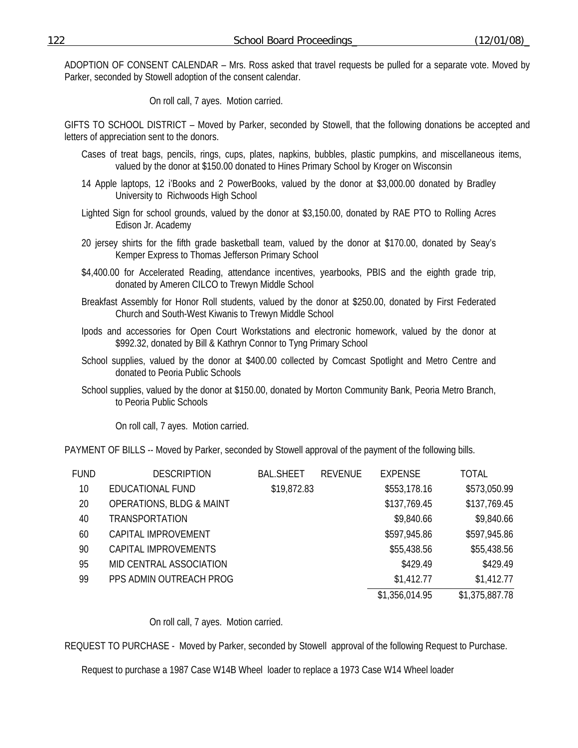ADOPTION OF CONSENT CALENDAR – Mrs. Ross asked that travel requests be pulled for a separate vote. Moved by Parker, seconded by Stowell adoption of the consent calendar.

On roll call, 7 ayes. Motion carried.

GIFTS TO SCHOOL DISTRICT – Moved by Parker, seconded by Stowell, that the following donations be accepted and letters of appreciation sent to the donors.

- Cases of treat bags, pencils, rings, cups, plates, napkins, bubbles, plastic pumpkins, and miscellaneous items, valued by the donor at \$150.00 donated to Hines Primary School by Kroger on Wisconsin
- 14 Apple laptops, 12 i'Books and 2 PowerBooks, valued by the donor at \$3,000.00 donated by Bradley University to Richwoods High School
- Lighted Sign for school grounds, valued by the donor at \$3,150.00, donated by RAE PTO to Rolling Acres Edison Jr. Academy
- 20 jersey shirts for the fifth grade basketball team, valued by the donor at \$170.00, donated by Seay's Kemper Express to Thomas Jefferson Primary School
- \$4,400.00 for Accelerated Reading, attendance incentives, yearbooks, PBIS and the eighth grade trip, donated by Ameren CILCO to Trewyn Middle School
- Breakfast Assembly for Honor Roll students, valued by the donor at \$250.00, donated by First Federated Church and South-West Kiwanis to Trewyn Middle School
- Ipods and accessories for Open Court Workstations and electronic homework, valued by the donor at \$992.32, donated by Bill & Kathryn Connor to Tyng Primary School
- School supplies, valued by the donor at \$400.00 collected by Comcast Spotlight and Metro Centre and donated to Peoria Public Schools
- School supplies, valued by the donor at \$150.00, donated by Morton Community Bank, Peoria Metro Branch, to Peoria Public Schools

On roll call, 7 ayes. Motion carried.

PAYMENT OF BILLS -- Moved by Parker, seconded by Stowell approval of the payment of the following bills.

| <b>FUND</b> | <b>DESCRIPTION</b>                  | <b>BAL.SHEET</b> | <b>REVENUE</b> | <b>EXPENSE</b> | TOTAL          |
|-------------|-------------------------------------|------------------|----------------|----------------|----------------|
| 10          | EDUCATIONAL FUND                    | \$19,872.83      |                | \$553,178.16   | \$573,050.99   |
| 20          | <b>OPERATIONS, BLDG &amp; MAINT</b> |                  |                | \$137,769.45   | \$137,769.45   |
| 40          | <b>TRANSPORTATION</b>               |                  |                | \$9,840.66     | \$9,840.66     |
| 60          | CAPITAL IMPROVEMENT                 |                  |                | \$597,945.86   | \$597,945.86   |
| 90          | CAPITAL IMPROVEMENTS                |                  |                | \$55,438.56    | \$55,438.56    |
| 95          | MID CENTRAL ASSOCIATION             |                  |                | \$429.49       | \$429.49       |
| 99          | PPS ADMIN OUTREACH PROG             |                  |                | \$1,412.77     | \$1,412.77     |
|             |                                     |                  |                | \$1,356,014.95 | \$1,375,887.78 |

#### On roll call, 7 ayes. Motion carried.

REQUEST TO PURCHASE - Moved by Parker, seconded by Stowell approval of the following Request to Purchase.

Request to purchase a 1987 Case W14B Wheel loader to replace a 1973 Case W14 Wheel loader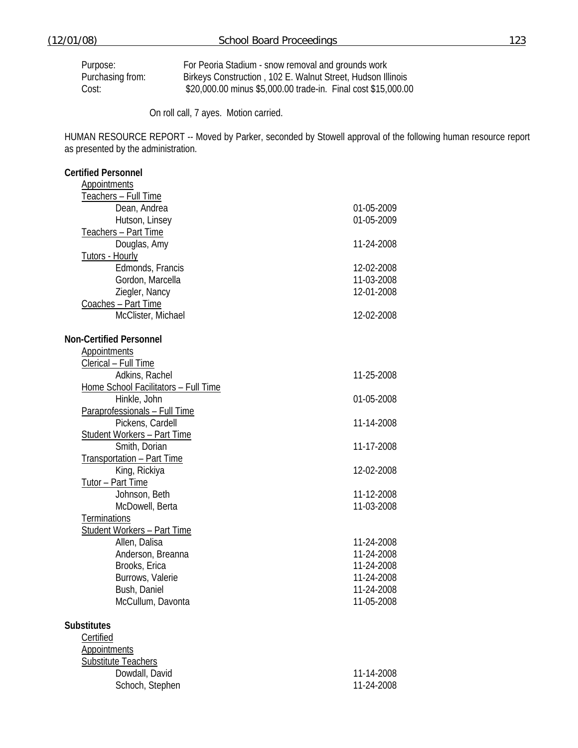Purpose: For Peoria Stadium - snow removal and grounds work<br>Purchasing from: Birkeys Construction, 102 E. Walnut Street, Hudson III Birkeys Construction , 102 E. Walnut Street, Hudson Illinois Cost: \$20,000.00 minus \$5,000.00 trade-in. Final cost \$15,000.00

On roll call, 7 ayes. Motion carried.

HUMAN RESOURCE REPORT -- Moved by Parker, seconded by Stowell approval of the following human resource report as presented by the administration.

| <b>Certified Personnel</b>           |            |
|--------------------------------------|------------|
| <b>Appointments</b>                  |            |
| <u>Teachers – Full Time</u>          |            |
| Dean, Andrea                         | 01-05-2009 |
| Hutson, Linsey                       | 01-05-2009 |
| Teachers - Part Time                 |            |
| Douglas, Amy                         | 11-24-2008 |
| <b>Tutors - Hourly</b>               |            |
| Edmonds, Francis                     | 12-02-2008 |
| Gordon, Marcella                     | 11-03-2008 |
| Ziegler, Nancy                       | 12-01-2008 |
| Coaches - Part Time                  |            |
| McClister, Michael                   | 12-02-2008 |
| <b>Non-Certified Personnel</b>       |            |
| <b>Appointments</b>                  |            |
| Clerical - Full Time                 |            |
| Adkins, Rachel                       | 11-25-2008 |
| Home School Facilitators - Full Time |            |
| Hinkle, John                         | 01-05-2008 |
| Paraprofessionals - Full Time        |            |
| Pickens, Cardell                     | 11-14-2008 |
| <b>Student Workers - Part Time</b>   |            |
| Smith, Dorian                        | 11-17-2008 |
| Transportation - Part Time           |            |
| King, Rickiya                        | 12-02-2008 |
| Tutor - Part Time                    |            |
| Johnson, Beth                        | 11-12-2008 |
| McDowell, Berta                      | 11-03-2008 |
| Terminations                         |            |
| <b>Student Workers - Part Time</b>   |            |
| Allen, Dalisa                        | 11-24-2008 |
| Anderson, Breanna                    | 11-24-2008 |
| Brooks, Erica                        | 11-24-2008 |
| Burrows, Valerie                     | 11-24-2008 |
| Bush, Daniel                         | 11-24-2008 |
| McCullum, Davonta                    | 11-05-2008 |
| <b>Substitutes</b>                   |            |
| Certified                            |            |
| <b>Appointments</b>                  |            |
| Substitute Teachers                  |            |
| Dowdall, David                       | 11-14-2008 |
| Schoch, Stephen                      | 11-24-2008 |
|                                      |            |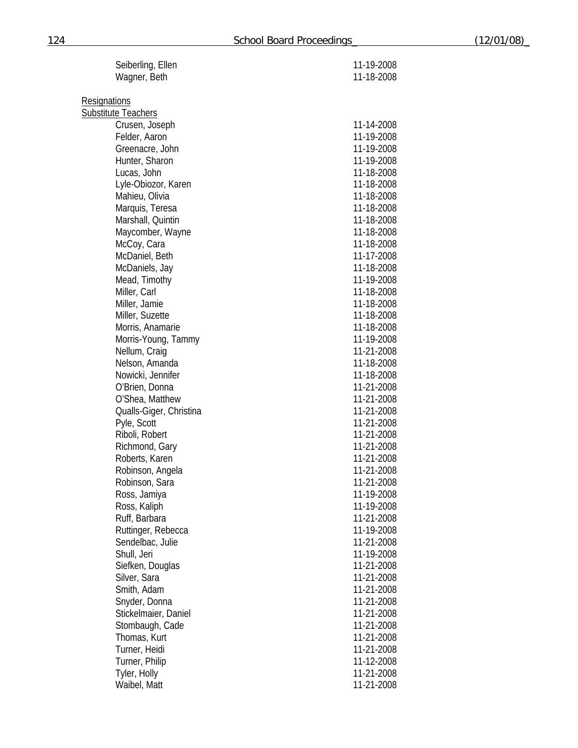| Seiberling, Ellen                  | 11-19-2008               |
|------------------------------------|--------------------------|
| Wagner, Beth                       | 11-18-2008               |
| Resignations                       |                          |
| Substitute Teachers                |                          |
| Crusen, Joseph                     | 11-14-2008               |
| Felder, Aaron                      | 11-19-2008               |
| Greenacre, John                    | 11-19-2008               |
| Hunter, Sharon                     | 11-19-2008               |
| Lucas, John                        | 11-18-2008               |
| Lyle-Obiozor, Karen                | 11-18-2008               |
| Mahieu, Olivia                     | 11-18-2008               |
| Marquis, Teresa                    | 11-18-2008               |
| Marshall, Quintin                  | 11-18-2008               |
| Maycomber, Wayne                   | 11-18-2008               |
| McCoy, Cara                        | 11-18-2008               |
| McDaniel, Beth                     | 11-17-2008               |
| McDaniels, Jay                     | 11-18-2008               |
| Mead, Timothy                      | 11-19-2008               |
| Miller, Carl                       | 11-18-2008               |
| Miller, Jamie                      | 11-18-2008               |
| Miller, Suzette                    | 11-18-2008               |
| Morris, Anamarie                   | 11-18-2008               |
| Morris-Young, Tammy                | 11-19-2008               |
| Nellum, Craig                      | 11-21-2008               |
| Nelson, Amanda                     | 11-18-2008               |
| Nowicki, Jennifer                  | 11-18-2008               |
| O'Brien, Donna                     | 11-21-2008               |
| O'Shea, Matthew                    | 11-21-2008               |
| Qualls-Giger, Christina            | 11-21-2008               |
| Pyle, Scott                        | 11-21-2008               |
| Riboli, Robert                     | 11-21-2008               |
| Richmond, Gary                     | 11-21-2008               |
| Roberts, Karen                     | 11-21-2008               |
| Robinson, Angela<br>Robinson, Sara | 11-21-2008<br>11-21-2008 |
| Ross, Jamiya                       | 11-19-2008               |
| Ross, Kaliph                       | 11-19-2008               |
| Ruff, Barbara                      | 11-21-2008               |
| Ruttinger, Rebecca                 | 11-19-2008               |
| Sendelbac, Julie                   | 11-21-2008               |
| Shull, Jeri                        | 11-19-2008               |
| Siefken, Douglas                   | 11-21-2008               |
| Silver, Sara                       | 11-21-2008               |
| Smith, Adam                        | 11-21-2008               |
| Snyder, Donna                      | 11-21-2008               |
| Stickelmaier, Daniel               | 11-21-2008               |
| Stombaugh, Cade                    | 11-21-2008               |
| Thomas, Kurt                       | 11-21-2008               |
| Turner, Heidi                      | 11-21-2008               |
| Turner, Philip                     | 11-12-2008               |
| Tyler, Holly                       | 11-21-2008               |
| Waibel, Matt                       | 11-21-2008               |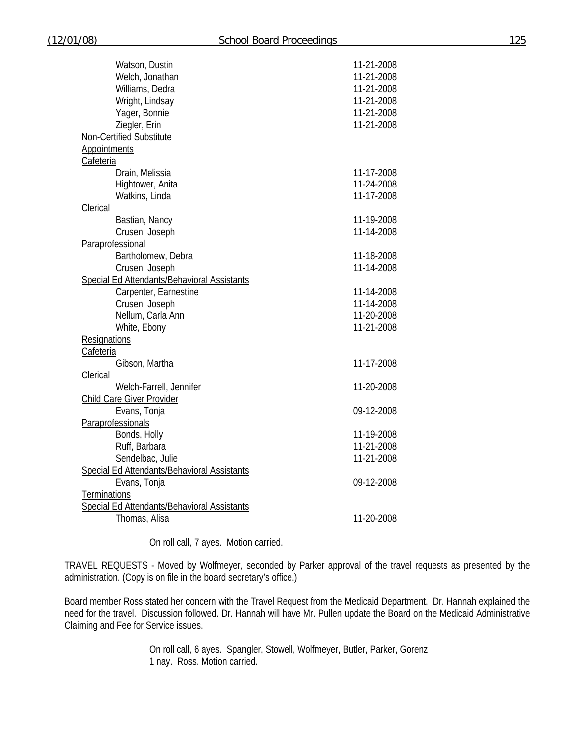| Watson, Dustin                                               | 11-21-2008 |
|--------------------------------------------------------------|------------|
| Welch, Jonathan                                              | 11-21-2008 |
| Williams, Dedra                                              | 11-21-2008 |
| Wright, Lindsay                                              | 11-21-2008 |
| Yager, Bonnie                                                | 11-21-2008 |
| Ziegler, Erin                                                | 11-21-2008 |
| Non-Certified Substitute                                     |            |
| <b>Appointments</b>                                          |            |
| Cafeteria                                                    |            |
| Drain, Melissia                                              | 11-17-2008 |
| Hightower, Anita                                             | 11-24-2008 |
| Watkins, Linda                                               | 11-17-2008 |
|                                                              |            |
| <b>Clerical</b>                                              |            |
| Bastian, Nancy                                               | 11-19-2008 |
| Crusen, Joseph                                               | 11-14-2008 |
| Paraprofessional                                             |            |
| Bartholomew, Debra                                           | 11-18-2008 |
| Crusen, Joseph                                               | 11-14-2008 |
| Special Ed Attendants/Behavioral Assistants                  |            |
| Carpenter, Earnestine                                        | 11-14-2008 |
| Crusen, Joseph                                               | 11-14-2008 |
| Nellum, Carla Ann                                            | 11-20-2008 |
| White, Ebony                                                 | 11-21-2008 |
| <b>Resignations</b>                                          |            |
| Cafeteria                                                    |            |
| Gibson, Martha                                               | 11-17-2008 |
| Clerical                                                     |            |
| Welch-Farrell, Jennifer                                      | 11-20-2008 |
| <b>Child Care Giver Provider</b>                             |            |
| Evans, Tonja                                                 | 09-12-2008 |
| Paraprofessionals                                            |            |
| Bonds, Holly                                                 | 11-19-2008 |
| Ruff, Barbara                                                | 11-21-2008 |
| Sendelbac, Julie                                             | 11-21-2008 |
| Special Ed Attendants/Behavioral Assistants                  |            |
| Evans, Tonja                                                 | 09-12-2008 |
|                                                              |            |
| <b>Terminations</b>                                          |            |
| Special Ed Attendants/Behavioral Assistants<br>Thomas, Alisa | 11-20-2008 |
|                                                              |            |

On roll call, 7 ayes. Motion carried.

TRAVEL REQUESTS - Moved by Wolfmeyer, seconded by Parker approval of the travel requests as presented by the administration. (Copy is on file in the board secretary's office.)

Board member Ross stated her concern with the Travel Request from the Medicaid Department. Dr. Hannah explained the need for the travel. Discussion followed. Dr. Hannah will have Mr. Pullen update the Board on the Medicaid Administrative Claiming and Fee for Service issues.

> On roll call, 6 ayes. Spangler, Stowell, Wolfmeyer, Butler, Parker, Gorenz 1 nay. Ross. Motion carried.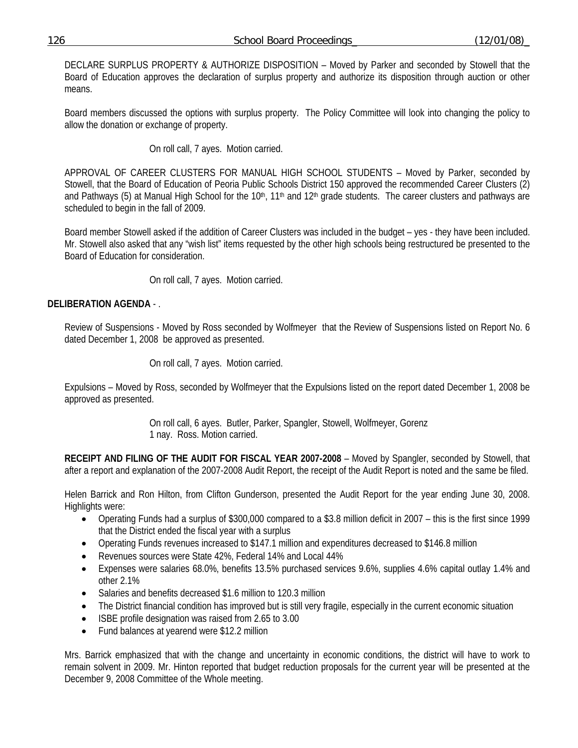# 126 School Board Proceedings\_ (12/01/08)\_

DECLARE SURPLUS PROPERTY & AUTHORIZE DISPOSITION – Moved by Parker and seconded by Stowell that the Board of Education approves the declaration of surplus property and authorize its disposition through auction or other means.

Board members discussed the options with surplus property. The Policy Committee will look into changing the policy to allow the donation or exchange of property.

On roll call, 7 ayes. Motion carried.

APPROVAL OF CAREER CLUSTERS FOR MANUAL HIGH SCHOOL STUDENTS – Moved by Parker, seconded by Stowell, that the Board of Education of Peoria Public Schools District 150 approved the recommended Career Clusters (2) and Pathways (5) at Manual High School for the 10<sup>th</sup>, 11<sup>th</sup> and 12<sup>th</sup> grade students. The career clusters and pathways are scheduled to begin in the fall of 2009.

Board member Stowell asked if the addition of Career Clusters was included in the budget – yes - they have been included. Mr. Stowell also asked that any "wish list" items requested by the other high schools being restructured be presented to the Board of Education for consideration.

On roll call, 7 ayes. Motion carried.

## **DELIBERATION AGENDA** - .

Review of Suspensions - Moved by Ross seconded by Wolfmeyer that the Review of Suspensions listed on Report No. 6 dated December 1, 2008 be approved as presented.

On roll call, 7 ayes. Motion carried.

Expulsions – Moved by Ross, seconded by Wolfmeyer that the Expulsions listed on the report dated December 1, 2008 be approved as presented.

> On roll call, 6 ayes. Butler, Parker, Spangler, Stowell, Wolfmeyer, Gorenz 1 nay. Ross. Motion carried.

**RECEIPT AND FILING OF THE AUDIT FOR FISCAL YEAR 2007-2008** – Moved by Spangler, seconded by Stowell, that after a report and explanation of the 2007-2008 Audit Report, the receipt of the Audit Report is noted and the same be filed.

Helen Barrick and Ron Hilton, from Clifton Gunderson, presented the Audit Report for the year ending June 30, 2008. Highlights were:

- Operating Funds had a surplus of \$300,000 compared to a \$3.8 million deficit in 2007 this is the first since 1999 that the District ended the fiscal year with a surplus
- Operating Funds revenues increased to \$147.1 million and expenditures decreased to \$146.8 million
- Revenues sources were State 42%, Federal 14% and Local 44%
- Expenses were salaries 68.0%, benefits 13.5% purchased services 9.6%, supplies 4.6% capital outlay 1.4% and other 2.1%
- Salaries and benefits decreased \$1.6 million to 120.3 million
- The District financial condition has improved but is still very fragile, especially in the current economic situation
- ISBE profile designation was raised from 2.65 to 3.00
- Fund balances at yearend were \$12.2 million

Mrs. Barrick emphasized that with the change and uncertainty in economic conditions, the district will have to work to remain solvent in 2009. Mr. Hinton reported that budget reduction proposals for the current year will be presented at the December 9, 2008 Committee of the Whole meeting.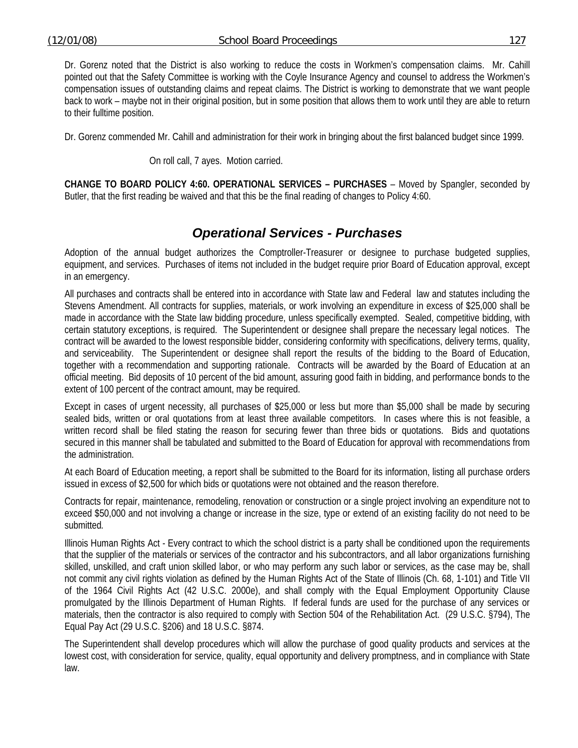Dr. Gorenz noted that the District is also working to reduce the costs in Workmen's compensation claims. Mr. Cahill pointed out that the Safety Committee is working with the Coyle Insurance Agency and counsel to address the Workmen's compensation issues of outstanding claims and repeat claims. The District is working to demonstrate that we want people back to work – maybe not in their original position, but in some position that allows them to work until they are able to return to their fulltime position.

Dr. Gorenz commended Mr. Cahill and administration for their work in bringing about the first balanced budget since 1999.

On roll call, 7 ayes. Motion carried.

**CHANGE TO BOARD POLICY 4:60. OPERATIONAL SERVICES – PURCHASES** – Moved by Spangler, seconded by Butler, that the first reading be waived and that this be the final reading of changes to Policy 4:60.

# *Operational Services - Purchases*

Adoption of the annual budget authorizes the Comptroller-Treasurer or designee to purchase budgeted supplies, equipment, and services. Purchases of items not included in the budget require prior Board of Education approval, except in an emergency.

All purchases and contracts shall be entered into in accordance with State law and Federal law and statutes including the Stevens Amendment. All contracts for supplies, materials, or work involving an expenditure in excess of \$25,000 shall be made in accordance with the State law bidding procedure, unless specifically exempted. Sealed, competitive bidding, with certain statutory exceptions, is required. The Superintendent or designee shall prepare the necessary legal notices. The contract will be awarded to the lowest responsible bidder, considering conformity with specifications, delivery terms, quality, and serviceability. The Superintendent or designee shall report the results of the bidding to the Board of Education, together with a recommendation and supporting rationale. Contracts will be awarded by the Board of Education at an official meeting. Bid deposits of 10 percent of the bid amount, assuring good faith in bidding, and performance bonds to the extent of 100 percent of the contract amount, may be required.

Except in cases of urgent necessity, all purchases of \$25,000 or less but more than \$5,000 shall be made by securing sealed bids, written or oral quotations from at least three available competitors. In cases where this is not feasible, a written record shall be filed stating the reason for securing fewer than three bids or quotations. Bids and quotations secured in this manner shall be tabulated and submitted to the Board of Education for approval with recommendations from the administration.

At each Board of Education meeting, a report shall be submitted to the Board for its information, listing all purchase orders issued in excess of \$2,500 for which bids or quotations were not obtained and the reason therefore.

Contracts for repair, maintenance, remodeling, renovation or construction or a single project involving an expenditure not to exceed \$50,000 and not involving a change or increase in the size, type or extend of an existing facility do not need to be submitted*.* 

Illinois Human Rights Act - Every contract to which the school district is a party shall be conditioned upon the requirements that the supplier of the materials or services of the contractor and his subcontractors, and all labor organizations furnishing skilled, unskilled, and craft union skilled labor, or who may perform any such labor or services, as the case may be, shall not commit any civil rights violation as defined by the Human Rights Act of the State of Illinois (Ch. 68, 1-101) and Title VII of the 1964 Civil Rights Act (42 U.S.C. 2000e), and shall comply with the Equal Employment Opportunity Clause promulgated by the Illinois Department of Human Rights. If federal funds are used for the purchase of any services or materials, then the contractor is also required to comply with Section 504 of the Rehabilitation Act. (29 U.S.C. §794), The Equal Pay Act (29 U.S.C. §206) and 18 U.S.C. §874.

The Superintendent shall develop procedures which will allow the purchase of good quality products and services at the lowest cost, with consideration for service, quality, equal opportunity and delivery promptness, and in compliance with State law.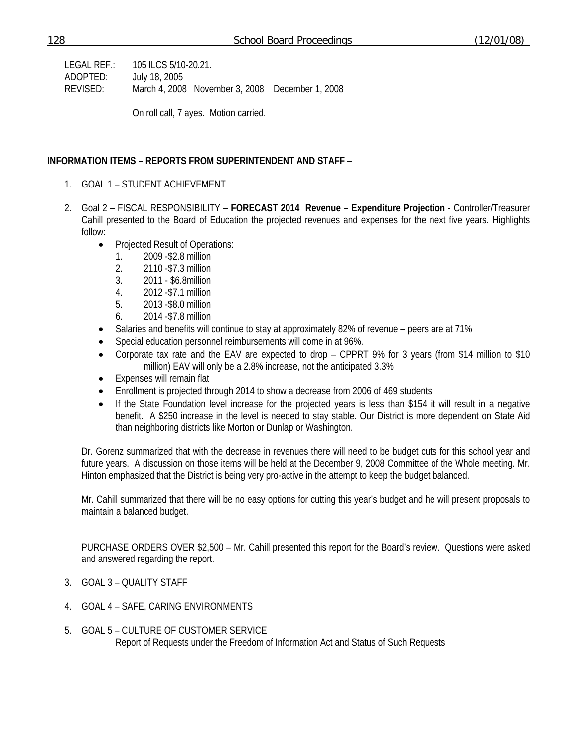LEGAL REF.: 105 ILCS 5/10-20.21. ADOPTED: July 18, 2005 REVISED: March 4, 2008 November 3, 2008 December 1, 2008

On roll call, 7 ayes. Motion carried.

### **INFORMATION ITEMS – REPORTS FROM SUPERINTENDENT AND STAFF** –

- 1. GOAL 1 STUDENT ACHIEVEMENT
- 2. Goal 2 FISCAL RESPONSIBILITY **FORECAST 2014 Revenue Expenditure Projection** Controller/Treasurer Cahill presented to the Board of Education the projected revenues and expenses for the next five years. Highlights follow:
	- Projected Result of Operations:
		- 1. 2009 -\$2.8 million
		- 2. 2110 -\$7.3 million
		- 3. 2011 \$6.8million
		- 4. 2012 -\$7.1 million
		- 5. 2013 -\$8.0 million
		- 6. 2014 -\$7.8 million
	- Salaries and benefits will continue to stay at approximately 82% of revenue peers are at 71%
	- Special education personnel reimbursements will come in at 96%.
	- Corporate tax rate and the EAV are expected to drop CPPRT 9% for 3 years (from \$14 million to \$10 million) EAV will only be a 2.8% increase, not the anticipated 3.3%
	- Expenses will remain flat
	- Enrollment is projected through 2014 to show a decrease from 2006 of 469 students
	- If the State Foundation level increase for the projected years is less than \$154 it will result in a negative benefit. A \$250 increase in the level is needed to stay stable. Our District is more dependent on State Aid than neighboring districts like Morton or Dunlap or Washington.

Dr. Gorenz summarized that with the decrease in revenues there will need to be budget cuts for this school year and future years. A discussion on those items will be held at the December 9, 2008 Committee of the Whole meeting. Mr. Hinton emphasized that the District is being very pro-active in the attempt to keep the budget balanced.

Mr. Cahill summarized that there will be no easy options for cutting this year's budget and he will present proposals to maintain a balanced budget.

 PURCHASE ORDERS OVER \$2,500 – Mr. Cahill presented this report for the Board's review. Questions were asked and answered regarding the report.

- 3. GOAL 3 QUALITY STAFF
- 4. GOAL 4 SAFE, CARING ENVIRONMENTS
- 5. GOAL 5 CULTURE OF CUSTOMER SERVICE Report of Requests under the Freedom of Information Act and Status of Such Requests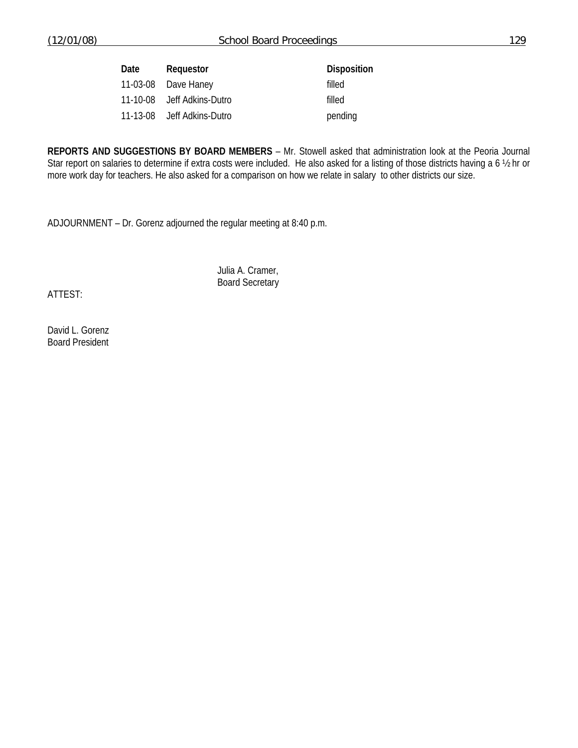| Date | Requestor                  | <b>Disposition</b> |
|------|----------------------------|--------------------|
|      | 11-03-08 Dave Haney        | filled             |
|      | 11-10-08 Jeff Adkins-Dutro | filled             |
|      | 11-13-08 Jeff Adkins-Dutro | pending            |

**REPORTS AND SUGGESTIONS BY BOARD MEMBERS** – Mr. Stowell asked that administration look at the Peoria Journal Star report on salaries to determine if extra costs were included. He also asked for a listing of those districts having a 6  $\frac{1}{2}$  hr or more work day for teachers. He also asked for a comparison on how we relate in salary to other districts our size.

ADJOURNMENT – Dr. Gorenz adjourned the regular meeting at 8:40 p.m.

 Julia A. Cramer, Board Secretary

ATTEST:

David L. Gorenz Board President